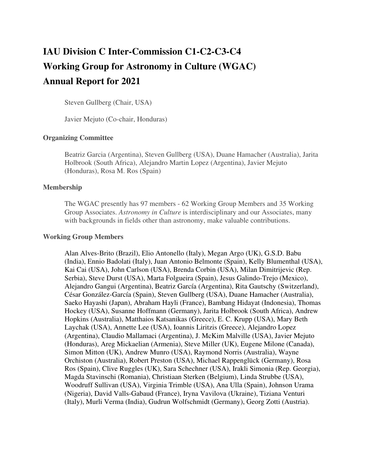# **IAU Division C Inter-Commission C1-C2-C3-C4 Working Group for Astronomy in Culture (WGAC) Annual Report for 2021**

Steven Gullberg (Chair, USA)

Javier Mejuto (Co-chair, Honduras)

## **Organizing Committee**

Beatriz Garcia (Argentina), Steven Gullberg (USA), Duane Hamacher (Australia), Jarita Holbrook (South Africa), Alejandro Martin Lopez (Argentina), Javier Mejuto (Honduras), Rosa M. Ros (Spain)

#### **Membership**

The WGAC presently has 97 members - 62 Working Group Members and 35 Working Group Associates. *Astronomy in Culture* is interdisciplinary and our Associates, many with backgrounds in fields other than astronomy, make valuable contributions.

#### **Working Group Members**

Alan Alves-Brito (Brazil), Elio Antonello (Italy), Megan Argo (UK), G.S.D. Babu (India), Ennio Badolati (Italy), Juan Antonio Belmonte (Spain), Kelly Blumenthal (USA), Kai Cai (USA), John Carlson (USA), Brenda Corbin (USA), Milan Dimitrijevic (Rep. Serbia), Steve Durst (USA), Marta Folgueira (Spain), Jesus Galindo-Trejo (Mexico), Alejandro Gangui (Argentina), Beatriz García (Argentina), Rita Gautschy (Switzerland), César González-García (Spain), Steven Gullberg (USA), Duane Hamacher (Australia), Saeko Hayashi (Japan), Abraham Hayli (France), Bambang Hidayat (Indonesia), Thomas Hockey (USA), Susanne Hoffmann (Germany), Jarita Holbrook (South Africa), Andrew Hopkins (Australia), Matthaios Katsanikas (Greece), E. C. Krupp (USA), Mary Beth Laychak (USA), Annette Lee (USA), Ioannis Liritzis (Greece), Alejandro Lopez (Argentina), Claudio Mallamaci (Argentina), J. McKim Malville (USA), Javier Mejuto (Honduras), Areg Mickaelian (Armenia), Steve Miller (UK), Eugene Milone (Canada), Simon Mitton (UK), Andrew Munro (USA), Raymond Norris (Australia), Wayne Orchiston (Australia), Robert Preston (USA), Michael Rappenglück (Germany), Rosa Ros (Spain), Clive Ruggles (UK), Sara Schechner (USA), Irakli Simonia (Rep. Georgia), Magda Stavinschi (Romania), Christiaan Sterken (Belgium), Linda Strubbe (USA), Woodruff Sullivan (USA), Virginia Trimble (USA), Ana Ulla (Spain), Johnson Urama (Nigeria), David Valls-Gabaud (France), Iryna Vavilova (Ukraine), Tiziana Venturi (Italy), Murli Verma (India), Gudrun Wolfschmidt (Germany), Georg Zotti (Austria).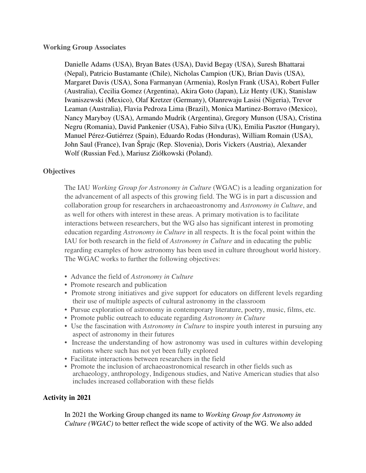## **Working Group Associates**

Danielle Adams (USA), Bryan Bates (USA), David Begay (USA), Suresh Bhattarai (Nepal), Patricio Bustamante (Chile), Nicholas Campion (UK), Brian Davis (USA), Margaret Davis (USA), Sona Farmanyan (Armenia), Roslyn Frank (USA), Robert Fuller (Australia), Cecilia Gomez (Argentina), Akira Goto (Japan), Liz Henty (UK), Stanislaw Iwaniszewski (Mexico), Olaf Kretzer (Germany), Olanrewaju Lasisi (Nigeria), Trevor Leaman (Australia), Flavia Pedroza Lima (Brazil), Monica Martinez-Borravo (Mexico), Nancy Maryboy (USA), Armando Mudrik (Argentina), Gregory Munson (USA), Cristina Negru (Romania), David Pankenier (USA), Fabio Silva (UK), Emilia Pasztor (Hungary), Manuel Pérez-Gutiérrez (Spain), Eduardo Rodas (Honduras), William Romain (USA), John Saul (France), Ivan Šprajc (Rep. Slovenia), Doris Vickers (Austria), Alexander Wolf (Russian Fed.), Mariusz Ziółkowski (Poland).

# **Objectives**

The IAU *Working Group for Astronomy in Culture* (WGAC) is a leading organization for the advancement of all aspects of this growing field. The WG is in part a discussion and collaboration group for researchers in archaeoastronomy and *Astronomy in Culture*, and as well for others with interest in these areas. A primary motivation is to facilitate interactions between researchers, but the WG also has significant interest in promoting education regarding *Astronomy in Culture* in all respects. It is the focal point within the IAU for both research in the field of *Astronomy in Culture* and in educating the public regarding examples of how astronomy has been used in culture throughout world history. The WGAC works to further the following objectives:

- Advance the field of *Astronomy in Culture*
- Promote research and publication
- Promote strong initiatives and give support for educators on different levels regarding their use of multiple aspects of cultural astronomy in the classroom
- Pursue exploration of astronomy in contemporary literature, poetry, music, films, etc.
- Promote public outreach to educate regarding *Astronomy in Culture*
- Use the fascination with *Astronomy in Culture* to inspire youth interest in pursuing any aspect of astronomy in their futures
- Increase the understanding of how astronomy was used in cultures within developing nations where such has not yet been fully explored
- Facilitate interactions between researchers in the field
- Promote the inclusion of archaeoastronomical research in other fields such as archaeology, anthropology, Indigenous studies, and Native American studies that also includes increased collaboration with these fields

# **Activity in 2021**

In 2021 the Working Group changed its name to *Working Group for Astronomy in Culture (WGAC)* to better reflect the wide scope of activity of the WG. We also added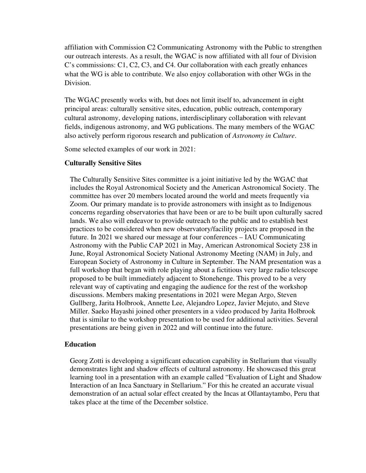affiliation with Commission C2 Communicating Astronomy with the Public to strengthen our outreach interests. As a result, the WGAC is now affiliated with all four of Division C's commissions: C1, C2, C3, and C4. Our collaboration with each greatly enhances what the WG is able to contribute. We also enjoy collaboration with other WGs in the Division.

The WGAC presently works with, but does not limit itself to, advancement in eight principal areas: culturally sensitive sites, education, public outreach, contemporary cultural astronomy, developing nations, interdisciplinary collaboration with relevant fields, indigenous astronomy, and WG publications. The many members of the WGAC also actively perform rigorous research and publication of *Astronomy in Culture*.

Some selected examples of our work in 2021:

## **Culturally Sensitive Sites**

The Culturally Sensitive Sites committee is a joint initiative led by the WGAC that includes the Royal Astronomical Society and the American Astronomical Society. The committee has over 20 members located around the world and meets frequently via Zoom. Our primary mandate is to provide astronomers with insight as to Indigenous concerns regarding observatories that have been or are to be built upon culturally sacred lands. We also will endeavor to provide outreach to the public and to establish best practices to be considered when new observatory/facility projects are proposed in the future. In 2021 we shared our message at four conferences – IAU Communicating Astronomy with the Public CAP 2021 in May, American Astronomical Society 238 in June, Royal Astronomical Society National Astronomy Meeting (NAM) in July, and European Society of Astronomy in Culture in September. The NAM presentation was a full workshop that began with role playing about a fictitious very large radio telescope proposed to be built immediately adjacent to Stonehenge. This proved to be a very relevant way of captivating and engaging the audience for the rest of the workshop discussions. Members making presentations in 2021 were Megan Argo, Steven Gullberg, Jarita Holbrook, Annette Lee, Alejandro Lopez, Javier Mejuto, and Steve Miller. Saeko Hayashi joined other presenters in a video produced by Jarita Holbrook that is similar to the workshop presentation to be used for additional activities. Several presentations are being given in 2022 and will continue into the future.

## **Education**

Georg Zotti is developing a significant education capability in Stellarium that visually demonstrates light and shadow effects of cultural astronomy. He showcased this great learning tool in a presentation with an example called "Evaluation of Light and Shadow Interaction of an Inca Sanctuary in Stellarium." For this he created an accurate visual demonstration of an actual solar effect created by the Incas at Ollantaytambo, Peru that takes place at the time of the December solstice.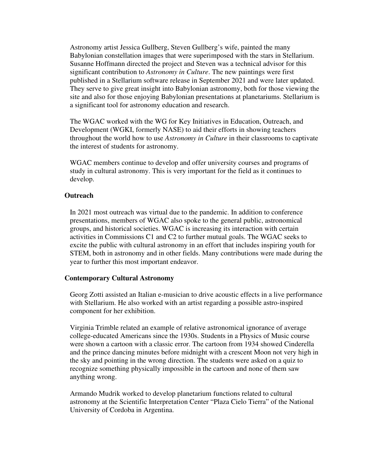Astronomy artist Jessica Gullberg, Steven Gullberg's wife, painted the many Babylonian constellation images that were superimposed with the stars in Stellarium. Susanne Hoffmann directed the project and Steven was a technical advisor for this significant contribution to *Astronomy in Culture*. The new paintings were first published in a Stellarium software release in September 2021 and were later updated. They serve to give great insight into Babylonian astronomy, both for those viewing the site and also for those enjoying Babylonian presentations at planetariums. Stellarium is a significant tool for astronomy education and research.

The WGAC worked with the WG for Key Initiatives in Education, Outreach, and Development (WGKI, formerly NASE) to aid their efforts in showing teachers throughout the world how to use *Astronomy in Culture* in their classrooms to captivate the interest of students for astronomy.

WGAC members continue to develop and offer university courses and programs of study in cultural astronomy. This is very important for the field as it continues to develop.

#### **Outreach**

In 2021 most outreach was virtual due to the pandemic. In addition to conference presentations, members of WGAC also spoke to the general public, astronomical groups, and historical societies. WGAC is increasing its interaction with certain activities in Commissions C1 and C2 to further mutual goals. The WGAC seeks to excite the public with cultural astronomy in an effort that includes inspiring youth for STEM, both in astronomy and in other fields. Many contributions were made during the year to further this most important endeavor.

#### **Contemporary Cultural Astronomy**

Georg Zotti assisted an Italian e-musician to drive acoustic effects in a live performance with Stellarium. He also worked with an artist regarding a possible astro-inspired component for her exhibition.

Virginia Trimble related an example of relative astronomical ignorance of average college-educated Americans since the 1930s. Students in a Physics of Music course were shown a cartoon with a classic error. The cartoon from 1934 showed Cinderella and the prince dancing minutes before midnight with a crescent Moon not very high in the sky and pointing in the wrong direction. The students were asked on a quiz to recognize something physically impossible in the cartoon and none of them saw anything wrong.

Armando Mudrik worked to develop planetarium functions related to cultural astronomy at the Scientific Interpretation Center "Plaza Cielo Tierra" of the National University of Cordoba in Argentina.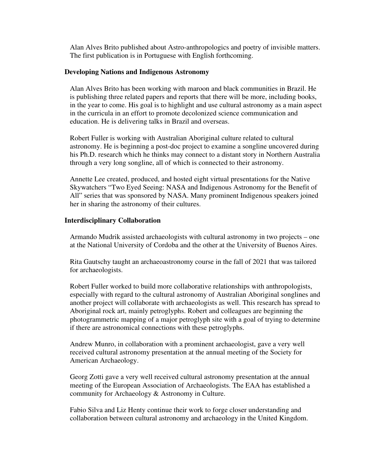Alan Alves Brito published about Astro-anthropologics and poetry of invisible matters. The first publication is in Portuguese with English forthcoming.

#### **Developing Nations and Indigenous Astronomy**

Alan Alves Brito has been working with maroon and black communities in Brazil. He is publishing three related papers and reports that there will be more, including books, in the year to come. His goal is to highlight and use cultural astronomy as a main aspect in the curricula in an effort to promote decolonized science communication and education. He is delivering talks in Brazil and overseas.

Robert Fuller is working with Australian Aboriginal culture related to cultural astronomy. He is beginning a post-doc project to examine a songline uncovered during his Ph.D. research which he thinks may connect to a distant story in Northern Australia through a very long songline, all of which is connected to their astronomy.

Annette Lee created, produced, and hosted eight virtual presentations for the Native Skywatchers "Two Eyed Seeing: NASA and Indigenous Astronomy for the Benefit of All" series that was sponsored by NASA. Many prominent Indigenous speakers joined her in sharing the astronomy of their cultures.

#### **Interdisciplinary Collaboration**

Armando Mudrik assisted archaeologists with cultural astronomy in two projects – one at the National University of Cordoba and the other at the University of Buenos Aires.

Rita Gautschy taught an archaeoastronomy course in the fall of 2021 that was tailored for archaeologists.

Robert Fuller worked to build more collaborative relationships with anthropologists, especially with regard to the cultural astronomy of Australian Aboriginal songlines and another project will collaborate with archaeologists as well. This research has spread to Aboriginal rock art, mainly petroglyphs. Robert and colleagues are beginning the photogrammetric mapping of a major petroglyph site with a goal of trying to determine if there are astronomical connections with these petroglyphs.

Andrew Munro, in collaboration with a prominent archaeologist, gave a very well received cultural astronomy presentation at the annual meeting of the Society for American Archaeology.

Georg Zotti gave a very well received cultural astronomy presentation at the annual meeting of the European Association of Archaeologists. The EAA has established a community for Archaeology & Astronomy in Culture.

Fabio Silva and Liz Henty continue their work to forge closer understanding and collaboration between cultural astronomy and archaeology in the United Kingdom.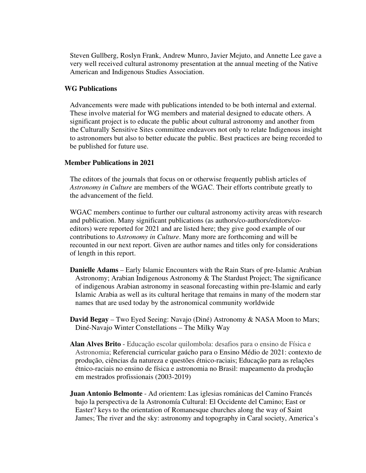Steven Gullberg, Roslyn Frank, Andrew Munro, Javier Mejuto, and Annette Lee gave a very well received cultural astronomy presentation at the annual meeting of the Native American and Indigenous Studies Association.

## **WG Publications**

Advancements were made with publications intended to be both internal and external. These involve material for WG members and material designed to educate others. A significant project is to educate the public about cultural astronomy and another from the Culturally Sensitive Sites committee endeavors not only to relate Indigenous insight to astronomers but also to better educate the public. Best practices are being recorded to be published for future use.

## **Member Publications in 2021**

The editors of the journals that focus on or otherwise frequently publish articles of *Astronomy in Culture* are members of the WGAC. Their efforts contribute greatly to the advancement of the field.

WGAC members continue to further our cultural astronomy activity areas with research and publication. Many significant publications (as authors/co-authors/editors/coeditors) were reported for 2021 and are listed here; they give good example of our contributions to *Astronomy in Culture*. Many more are forthcoming and will be recounted in our next report. Given are author names and titles only for considerations of length in this report.

- **Danielle Adams** Early Islamic Encounters with the Rain Stars of pre-Islamic Arabian Astronomy; Arabian Indigenous Astronomy & The Stardust Project; The significance of indigenous Arabian astronomy in seasonal forecasting within pre-Islamic and early Islamic Arabia as well as its cultural heritage that remains in many of the modern star names that are used today by the astronomical community worldwide
- **David Begay** Two Eyed Seeing: Navajo (Diné) Astronomy & NASA Moon to Mars; Diné-Navajo Winter Constellations – The Milky Way
- **Alan Alves Brito** Educação escolar quilombola: desafios para o ensino de Física e Astronomia; Referencial curricular gaúcho para o Ensino Médio de 2021: contexto de produção, ciências da natureza e questões étnico-raciais; Educação para as relações étnico-raciais no ensino de física e astronomia no Brasil: mapeamento da produção em mestrados profissionais (2003-2019)
- **Juan Antonio Belmonte** Ad orientem: Las iglesias románicas del Camino Francés bajo la perspectiva de la Astronomía Cultural: El Occidente del Camino; East or Easter? keys to the orientation of Romanesque churches along the way of Saint James; The river and the sky: astronomy and topography in Caral society, America's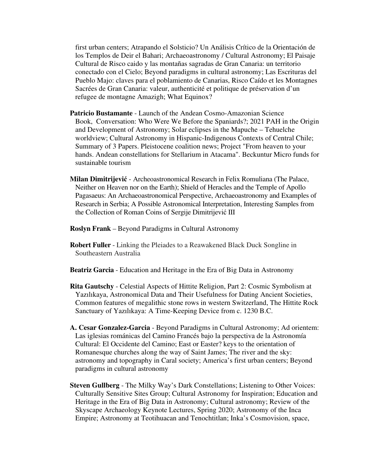first urban centers; Atrapando el Solsticio? Un Análisis Crítico de la Orientación de los Templos de Deir el Bahari; Archaeoastronomy / Cultural Astronomy; El Paisaje Cultural de Risco caido y las montañas sagradas de Gran Canaria: un territorio conectado con el Cielo; Beyond paradigms in cultural astronomy; Las Escrituras del Pueblo Majo: claves para el poblamiento de Canarias, Risco Caído et les Montagnes Sacrées de Gran Canaria: valeur, authenticité et politique de préservation d'un refugee de montagne Amazigh; What Equinox?

- **Patricio Bustamante** Launch of the Andean Cosmo-Amazonian Science Book, Conversation: Who Were We Before the Spaniards?; 2021 PAH in the Origin and Development of Astronomy; Solar eclipses in the Mapuche – Tehuelche worldview; Cultural Astronomy in Hispanic-Indigenous Contexts of Central Chile; Summary of 3 Papers. Pleistocene coalition news; Project "From heaven to your hands. Andean constellations for Stellarium in Atacama". Beckuntur Micro funds for sustainable tourism
- **Milan Dimitrijević** Archeoastronomical Research in Felix Romuliana (The Palace, Neither on Heaven nor on the Earth); Shield of Heracles and the Temple of Apollo Pagasaeus: An Archaeoastronomical Perspective, Archaeoastronomy and Examples of Research in Serbia; A Possible Astronomical Interpretation, Interesting Samples from the Collection of Roman Coins of Sergije Dimitrijević III
- **Roslyn Frank** Beyond Paradigms in Cultural Astronomy
- **Robert Fuller** Linking the Pleiades to a Reawakened Black Duck Songline in Southeastern Australia
- **Beatriz Garcia** Education and Heritage in the Era of Big Data in Astronomy
- **Rita Gautschy** Celestial Aspects of Hittite Religion, Part 2: Cosmic Symbolism at Yazılıkaya, Astronomical Data and Their Usefulness for Dating Ancient Societies, Common features of megalithic stone rows in western Switzerland, The Hittite Rock Sanctuary of Yazılıkaya: A Time-Keeping Device from c. 1230 B.C.
- **A. Cesar Gonzalez-Garcia** Beyond Paradigms in Cultural Astronomy; Ad orientem: Las iglesias románicas del Camino Francés bajo la perspectiva de la Astronomía Cultural: El Occidente del Camino; East or Easter? keys to the orientation of Romanesque churches along the way of Saint James; The river and the sky: astronomy and topography in Caral society; America's first urban centers; Beyond paradigms in cultural astronomy
- **Steven Gullberg** The Milky Way's Dark Constellations; Listening to Other Voices: Culturally Sensitive Sites Group; Cultural Astronomy for Inspiration; Education and Heritage in the Era of Big Data in Astronomy; Cultural astronomy; Review of the Skyscape Archaeology Keynote Lectures, Spring 2020; Astronomy of the Inca Empire; Astronomy at Teotihuacan and Tenochtitlan; Inka's Cosmovision, space,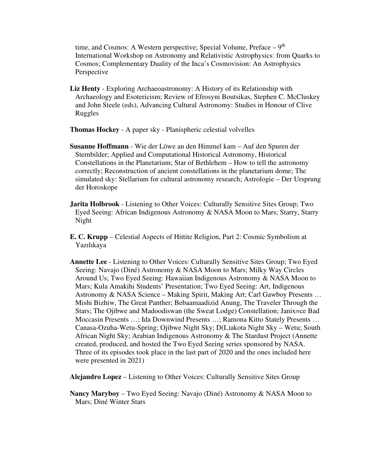time, and Cosmos: A Western perspective; Special Volume, Preface  $-9<sup>th</sup>$ International Workshop on Astronomy and Relativistic Astrophysics: from Quarks to Cosmos; Complementary Duality of the Inca's Cosmovision: An Astrophysics Perspective

**Liz Henty** - Exploring Archaeoastronomy: A History of its Relationship with Archaeology and Esotericism; Review of Efrosyni Boutsikas, Stephen C. McCluskey and John Steele (eds), Advancing Cultural Astronomy: Studies in Honour of Clive Ruggles

**Thomas Hockey** - A paper sky - Planispheric celestial volvelles

- **Susanne Hoffmann** Wie der Löwe an den Himmel kam Auf den Spuren der Sternbilder; Applied and Computational Historical Astronomy, Historical Constellations in the Planetarium; Star of Bethlehem – How to tell the astronomy correctly; Reconstruction of ancient constellations in the planetarium dome; The simulated sky: Stellarium for cultural astronomy research; Astrologie – Der Ursprung der Horoskope
- **Jarita Holbrook** Listening to Other Voices: Culturally Sensitive Sites Group; Two Eyed Seeing: African Indigenous Astronomy & NASA Moon to Mars; Starry, Starry Night
- **E. C. Krupp** Celestial Aspects of Hittite Religion, Part 2: Cosmic Symbolism at Yazılıkaya
- **Annette Lee** Listening to Other Voices: Culturally Sensitive Sites Group; Two Eyed Seeing: Navajo (Diné) Astronomy & NASA Moon to Mars; Milky Way Circles Around Us; Two Eyed Seeing: Hawaiian Indigenous Astronomy & NASA Moon to Mars; Kula Amakihi Students' Presentation; Two Eyed Seeing: Art, Indigenous Astronomy & NASA Science – Making Spirit, Making Art; Carl Gawboy Presents … Mishi Bizhiw, The Great Panther; Bebaamaadizid Anung, The Traveler Through the Stars; The Ojibwe and Madoodiswan (the Sweat Lodge) Constellation; Janix=ce Bad Moccasin Presents …; Ida Downwind Presents …; Ramona Kitto Stately Presents … Canasa-Ozuha-Wetu-Spring; Ojibwe Night Sky; D(L)akota Night Sky – Wetu; South African Night Sky; Arabian Indigenous Astronomy & The Stardust Project (Annette created, produced, and hosted the Two Eyed Seeing series sponsored by NASA. Three of its episodes took place in the last part of 2020 and the ones included here were presented in 2021)

**Alejandro Lopez** – Listening to Other Voices: Culturally Sensitive Sites Group

**Nancy Maryboy** – Two Eyed Seeing: Navajo (Diné) Astronomy & NASA Moon to Mars; Diné Winter Stars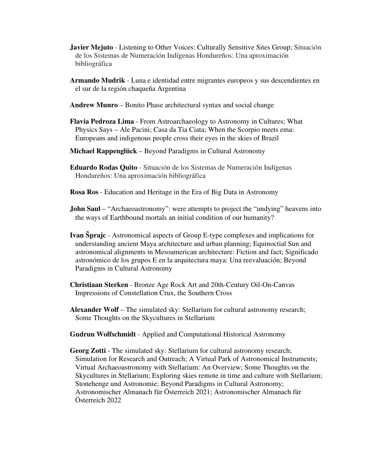- **Javier Mejuto** Listening to Other Voices: Culturally Sensitive Sites Group; Situación de los Sistemas de Numeración Indígenas Hondureños: Una aproximación bibliográfica
- **Armando Mudrik** Luna e identidad entre migrantes europeos y sus descendientes en el sur de la región chaqueña Argentina
- **Andrew Munro**  Bonito Phase architectural syntax and social change
- **Flavia Pedroza Lima** From Astroarchaeology to Astronomy in Cultures; What Physics Says – Ale Pacini; Casa da Tia Ciata; When the Scorpio meets ema: Europeans and indigenous people cross their eyes in the skies of Brazil
- **Michael Rappenglück** Beyond Paradigms in Cultural Astronomy
- **Eduardo Rodas Quito** Situación de los Sistemas de Numeración Indígenas Hondureños: Una aproximación bibliográfica
- **Rosa Ros** Education and Heritage in the Era of Big Data in Astronomy
- **John Saul** "Archaeoastronomy": were attempts to project the "undying" heavens into the ways of Earthbound mortals an initial condition of our humanity?
- **Ivan Šprajc** Astronomical aspects of Group E-type complexes and implications for understanding ancient Maya architecture and urban planning; Equinoctial Sun and astronomical alignments in Mesoamerican architecture: Fiction and fact; Significado astronómico de los grupos E en la arquitectura maya: Una reevaluación; Beyond Paradigms in Cultural Astronomy
- **Christiaan Sterken** Bronze Age Rock Art and 20th-Century Oil-On-Canvas Impressions of Constellation Crux, the Southern Cross
- **Alexander Wolf** The simulated sky: Stellarium for cultural astronomy research; Some Thoughts on the Skycultures in Stellarium
- **Gudrun Wolfschmidt** Applied and Computational Historical Astronomy
- **Georg Zotti** The simulated sky: Stellarium for cultural astronomy research; Simulation for Research and Outreach; A Virtual Park of Astronomical Instruments; Virtual Archaeoastronomy with Stellarium: An Overview; Some Thoughts on the Skycultures in Stellarium; Exploring skies remote in time and culture with Stellarium; Stonehenge und Astronomie; Beyond Paradigms in Cultural Astronomy; Astronomischer Almanach für Österreich 2021; Astronomischer Almanach für Österreich 2022